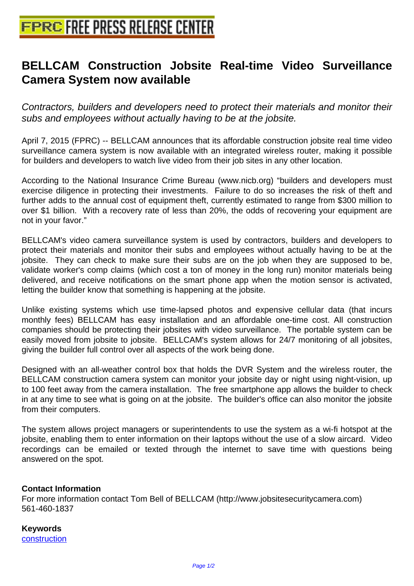## **[BELLCAM Construction Jobsite](http://www.free-press-release-center.info) Real-time Video Surveillance Camera System now available**

Contractors, builders and developers need to protect their materials and monitor their subs and employees without actually having to be at the jobsite.

April 7, 2015 (FPRC) -- BELLCAM announces that its affordable construction jobsite real time video surveillance camera system is now available with an integrated wireless router, making it possible for builders and developers to watch live video from their job sites in any other location.

According to the National Insurance Crime Bureau (www.nicb.org) "builders and developers must exercise diligence in protecting their investments. Failure to do so increases the risk of theft and further adds to the annual cost of equipment theft, currently estimated to range from \$300 million to over \$1 billion. With a recovery rate of less than 20%, the odds of recovering your equipment are not in your favor."

BELLCAM's video camera surveillance system is used by contractors, builders and developers to protect their materials and monitor their subs and employees without actually having to be at the jobsite. They can check to make sure their subs are on the job when they are supposed to be, validate worker's comp claims (which cost a ton of money in the long run) monitor materials being delivered, and receive notifications on the smart phone app when the motion sensor is activated, letting the builder know that something is happening at the jobsite.

Unlike existing systems which use time-lapsed photos and expensive cellular data (that incurs monthly fees) BELLCAM has easy installation and an affordable one-time cost. All construction companies should be protecting their jobsites with video surveillance. The portable system can be easily moved from jobsite to jobsite. BELLCAM's system allows for 24/7 monitoring of all jobsites, giving the builder full control over all aspects of the work being done.

Designed with an all-weather control box that holds the DVR System and the wireless router, the BELLCAM construction camera system can monitor your jobsite day or night using night-vision, up to 100 feet away from the camera installation. The free smartphone app allows the builder to check in at any time to see what is going on at the jobsite. The builder's office can also monitor the jobsite from their computers.

The system allows project managers or superintendents to use the system as a wi-fi hotspot at the jobsite, enabling them to enter information on their laptops without the use of a slow aircard. Video recordings can be emailed or texted through the internet to save time with questions being answered on the spot.

## **Contact Information**

For more information contact Tom Bell of BELLCAM (http://www.jobsitesecuritycamera.com) 561-460-1837

## **Keywords**

construction